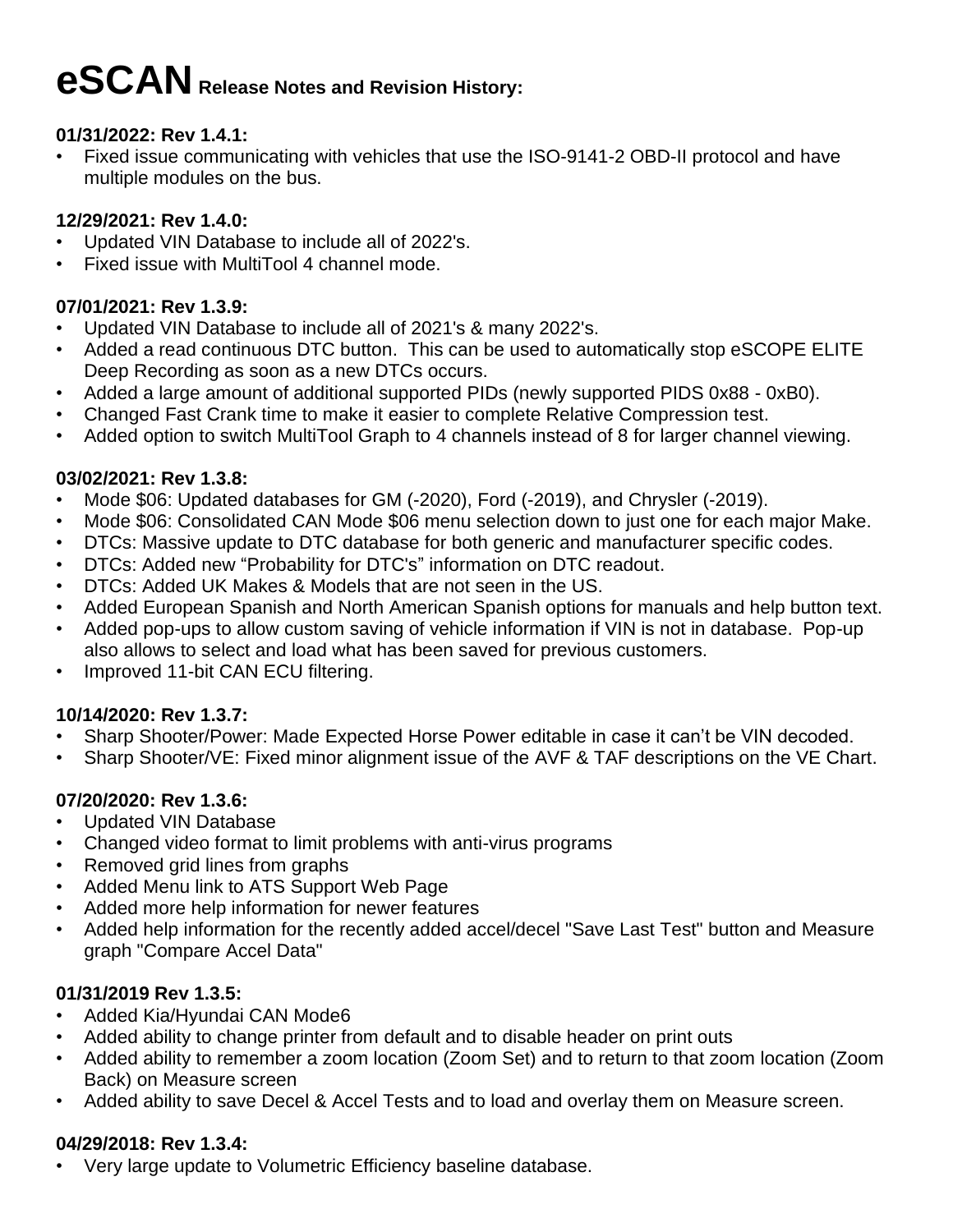# **eSCANRelease Notes and Revision History:**

#### **01/31/2022: Rev 1.4.1:**

• Fixed issue communicating with vehicles that use the ISO-9141-2 OBD-II protocol and have multiple modules on the bus.

## **12/29/2021: Rev 1.4.0:**

- Updated VIN Database to include all of 2022's.
- Fixed issue with MultiTool 4 channel mode.

# **07/01/2021: Rev 1.3.9:**

- Updated VIN Database to include all of 2021's & many 2022's.
- Added a read continuous DTC button. This can be used to automatically stop eSCOPE ELITE Deep Recording as soon as a new DTCs occurs.
- Added a large amount of additional supported PIDs (newly supported PIDS 0x88 0xB0).
- Changed Fast Crank time to make it easier to complete Relative Compression test.
- Added option to switch MultiTool Graph to 4 channels instead of 8 for larger channel viewing.

## **03/02/2021: Rev 1.3.8:**

- Mode \$06: Updated databases for GM (-2020), Ford (-2019), and Chrysler (-2019).
- Mode \$06: Consolidated CAN Mode \$06 menu selection down to just one for each major Make.
- DTCs: Massive update to DTC database for both generic and manufacturer specific codes.
- DTCs: Added new "Probability for DTC's" information on DTC readout.
- DTCs: Added UK Makes & Models that are not seen in the US.
- Added European Spanish and North American Spanish options for manuals and help button text.
- Added pop-ups to allow custom saving of vehicle information if VIN is not in database. Pop-up also allows to select and load what has been saved for previous customers.
- Improved 11-bit CAN ECU filtering.

# **10/14/2020: Rev 1.3.7:**

- Sharp Shooter/Power: Made Expected Horse Power editable in case it can't be VIN decoded.
- Sharp Shooter/VE: Fixed minor alignment issue of the AVF & TAF descriptions on the VE Chart.

# **07/20/2020: Rev 1.3.6:**

- Updated VIN Database
- Changed video format to limit problems with anti-virus programs
- Removed grid lines from graphs
- Added Menu link to ATS Support Web Page
- Added more help information for newer features
- Added help information for the recently added accel/decel "Save Last Test" button and Measure graph "Compare Accel Data"

# **01/31/2019 Rev 1.3.5:**

- Added Kia/Hyundai CAN Mode6
- Added ability to change printer from default and to disable header on print outs
- Added ability to remember a zoom location (Zoom Set) and to return to that zoom location (Zoom Back) on Measure screen
- Added ability to save Decel & Accel Tests and to load and overlay them on Measure screen.

# **04/29/2018: Rev 1.3.4:**

• Very large update to Volumetric Efficiency baseline database.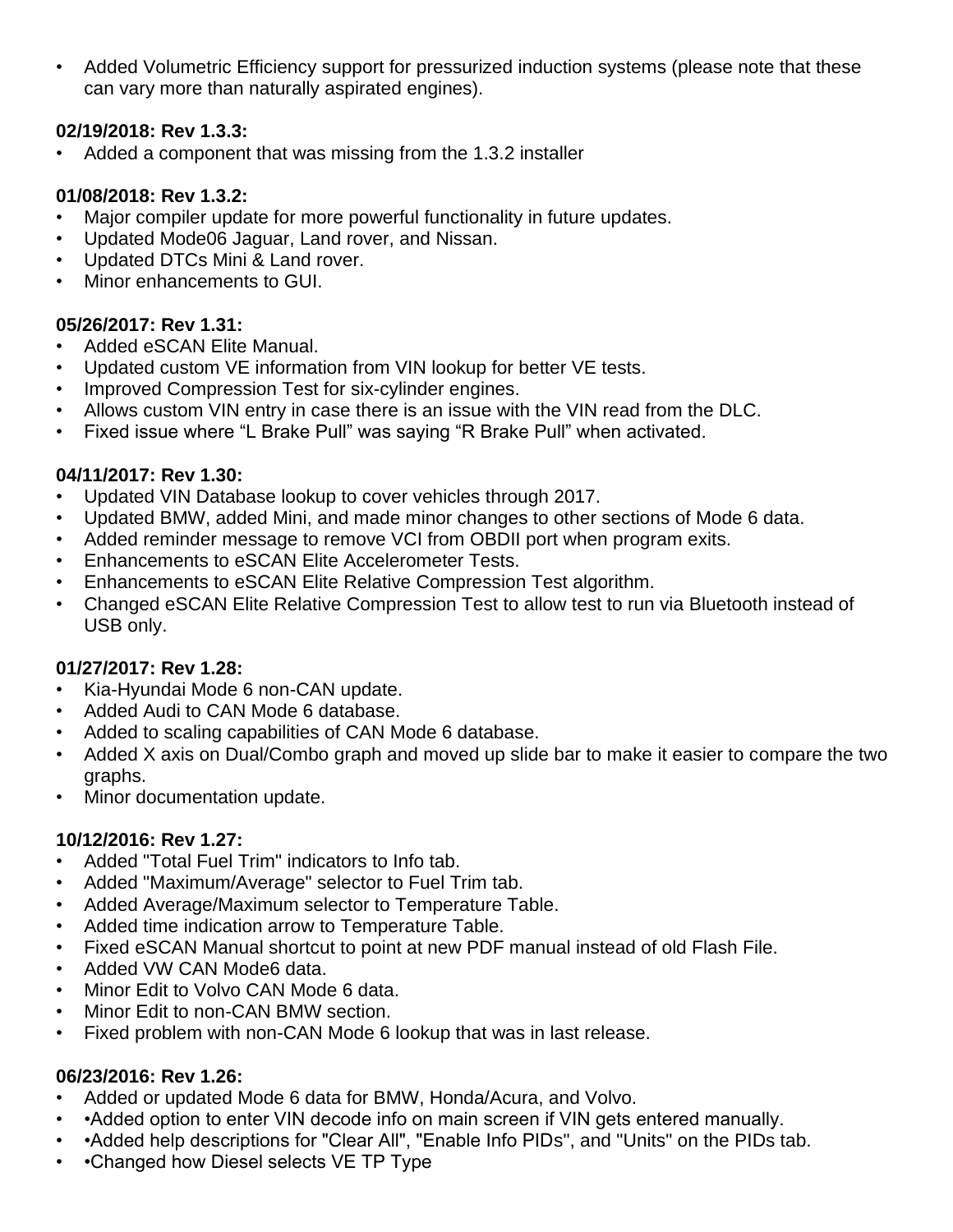• Added Volumetric Efficiency support for pressurized induction systems (please note that these can vary more than naturally aspirated engines).

#### **02/19/2018: Rev 1.3.3:**

• Added a component that was missing from the 1.3.2 installer

## **01/08/2018: Rev 1.3.2:**

- Major compiler update for more powerful functionality in future updates.
- Updated Mode06 Jaguar, Land rover, and Nissan.
- Updated DTCs Mini & Land rover.
- Minor enhancements to GUI.

#### **05/26/2017: Rev 1.31:**

- Added eSCAN Elite Manual.
- Updated custom VE information from VIN lookup for better VE tests.
- Improved Compression Test for six-cylinder engines.
- Allows custom VIN entry in case there is an issue with the VIN read from the DLC.
- Fixed issue where "L Brake Pull" was saying "R Brake Pull" when activated.

#### **04/11/2017: Rev 1.30:**

- Updated VIN Database lookup to cover vehicles through 2017.
- Updated BMW, added Mini, and made minor changes to other sections of Mode 6 data.
- Added reminder message to remove VCI from OBDII port when program exits.
- Enhancements to eSCAN Elite Accelerometer Tests.
- Enhancements to eSCAN Elite Relative Compression Test algorithm.
- Changed eSCAN Elite Relative Compression Test to allow test to run via Bluetooth instead of USB only.

#### **01/27/2017: Rev 1.28:**

- Kia-Hyundai Mode 6 non-CAN update.
- Added Audi to CAN Mode 6 database.
- Added to scaling capabilities of CAN Mode 6 database.
- Added X axis on Dual/Combo graph and moved up slide bar to make it easier to compare the two graphs.
- Minor documentation update.

#### **10/12/2016: Rev 1.27:**

- Added "Total Fuel Trim" indicators to Info tab.
- Added "Maximum/Average" selector to Fuel Trim tab.
- Added Average/Maximum selector to Temperature Table.
- Added time indication arrow to Temperature Table.
- Fixed eSCAN Manual shortcut to point at new PDF manual instead of old Flash File.
- Added VW CAN Mode6 data.
- Minor Edit to Volvo CAN Mode 6 data.
- Minor Edit to non-CAN BMW section.
- Fixed problem with non-CAN Mode 6 lookup that was in last release.

#### **06/23/2016: Rev 1.26:**

- Added or updated Mode 6 data for BMW, Honda/Acura, and Volvo.
- • Added option to enter VIN decode info on main screen if VIN gets entered manually.
- •Added help descriptions for "Clear All", "Enable Info PIDs", and "Units" on the PIDs tab.
- •Changed how Diesel selects VE TP Type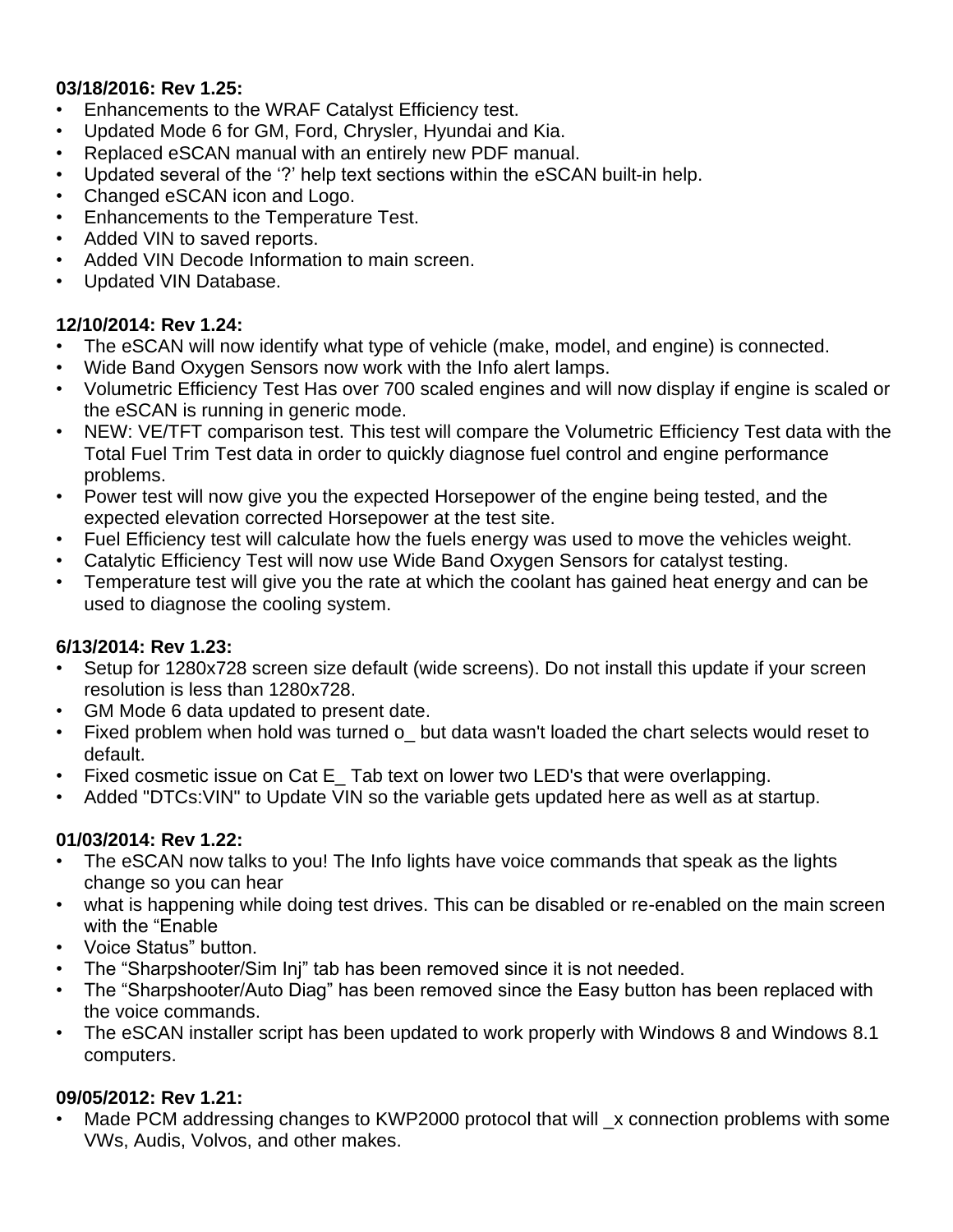#### **03/18/2016: Rev 1.25:**

- Enhancements to the WRAF Catalyst Efficiency test.
- Updated Mode 6 for GM, Ford, Chrysler, Hyundai and Kia.
- Replaced eSCAN manual with an entirely new PDF manual.
- Updated several of the '?' help text sections within the eSCAN built-in help.
- Changed eSCAN icon and Logo.
- Enhancements to the Temperature Test.
- Added VIN to saved reports.
- Added VIN Decode Information to main screen.
- Updated VIN Database.

## **12/10/2014: Rev 1.24:**

- The eSCAN will now identify what type of vehicle (make, model, and engine) is connected.
- Wide Band Oxygen Sensors now work with the Info alert lamps.
- Volumetric Efficiency Test Has over 700 scaled engines and will now display if engine is scaled or the eSCAN is running in generic mode.
- NEW: VE/TFT comparison test. This test will compare the Volumetric Efficiency Test data with the Total Fuel Trim Test data in order to quickly diagnose fuel control and engine performance problems.
- Power test will now give you the expected Horsepower of the engine being tested, and the expected elevation corrected Horsepower at the test site.
- Fuel Efficiency test will calculate how the fuels energy was used to move the vehicles weight.
- Catalytic Efficiency Test will now use Wide Band Oxygen Sensors for catalyst testing.
- Temperature test will give you the rate at which the coolant has gained heat energy and can be used to diagnose the cooling system.

#### **6/13/2014: Rev 1.23:**

- Setup for 1280x728 screen size default (wide screens). Do not install this update if your screen resolution is less than 1280x728.
- GM Mode 6 data updated to present date.
- Fixed problem when hold was turned o\_ but data wasn't loaded the chart selects would reset to default.
- Fixed cosmetic issue on Cat E Tab text on lower two LED's that were overlapping.
- Added "DTCs:VIN" to Update VIN so the variable gets updated here as well as at startup.

# **01/03/2014: Rev 1.22:**

- The eSCAN now talks to you! The Info lights have voice commands that speak as the lights change so you can hear
- what is happening while doing test drives. This can be disabled or re-enabled on the main screen with the "Enable
- Voice Status" button.
- The "Sharpshooter/Sim Inj" tab has been removed since it is not needed.
- The "Sharpshooter/Auto Diag" has been removed since the Easy button has been replaced with the voice commands.
- The eSCAN installer script has been updated to work properly with Windows 8 and Windows 8.1 computers.

# **09/05/2012: Rev 1.21:**

Made PCM addressing changes to KWP2000 protocol that will \_x connection problems with some VWs, Audis, Volvos, and other makes.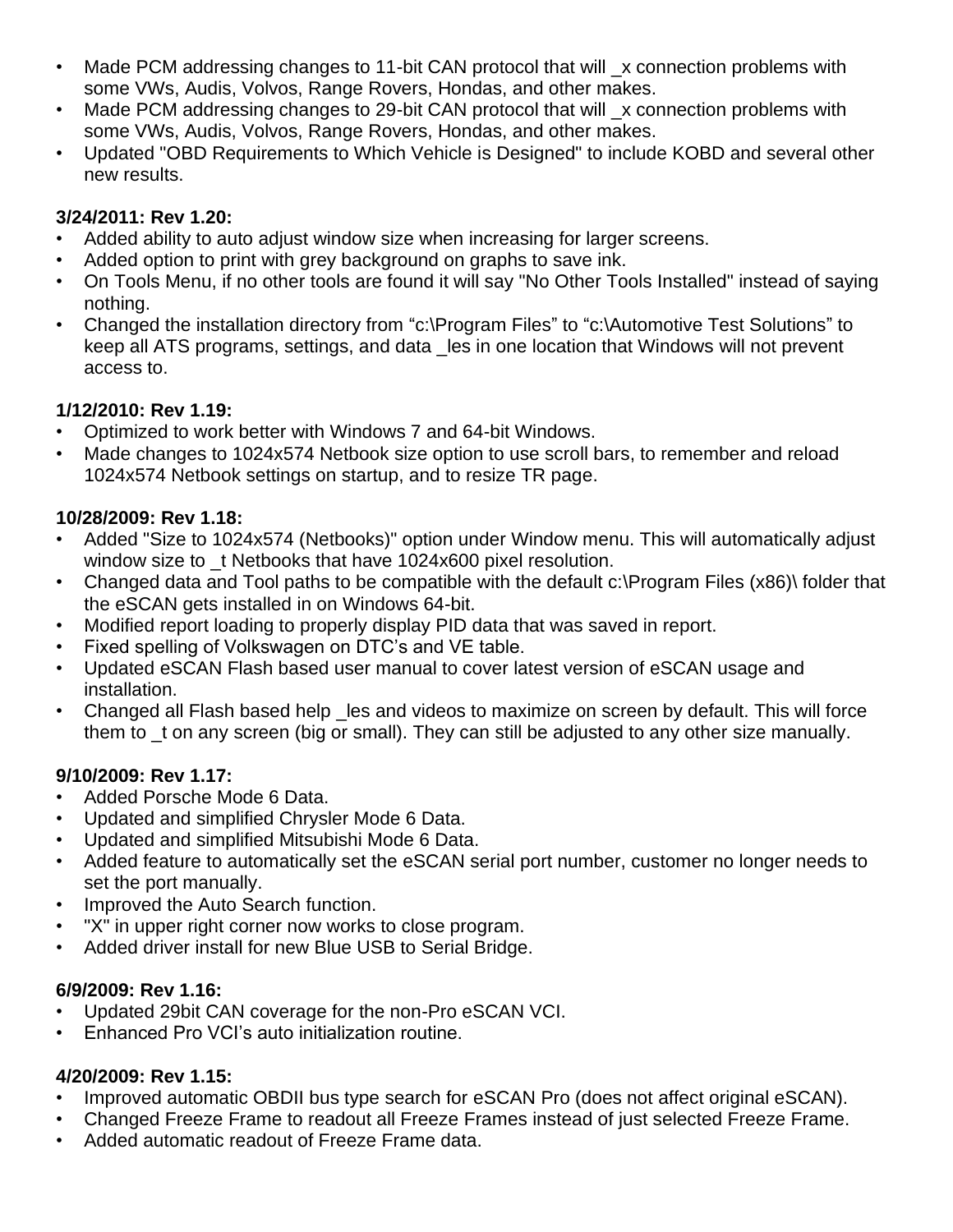- Made PCM addressing changes to 11-bit CAN protocol that will \_x connection problems with some VWs, Audis, Volvos, Range Rovers, Hondas, and other makes.
- Made PCM addressing changes to 29-bit CAN protocol that will x connection problems with some VWs, Audis, Volvos, Range Rovers, Hondas, and other makes.
- Updated "OBD Requirements to Which Vehicle is Designed" to include KOBD and several other new results.

#### **3/24/2011: Rev 1.20:**

- Added ability to auto adjust window size when increasing for larger screens.
- Added option to print with grey background on graphs to save ink.
- On Tools Menu, if no other tools are found it will say "No Other Tools Installed" instead of saying nothing.
- Changed the installation directory from "c:\Program Files" to "c:\Automotive Test Solutions" to keep all ATS programs, settings, and data \_les in one location that Windows will not prevent access to.

## **1/12/2010: Rev 1.19:**

- Optimized to work better with Windows 7 and 64-bit Windows.
- Made changes to 1024x574 Netbook size option to use scroll bars, to remember and reload 1024x574 Netbook settings on startup, and to resize TR page.

## **10/28/2009: Rev 1.18:**

- Added "Size to 1024x574 (Netbooks)" option under Window menu. This will automatically adjust window size to t Netbooks that have 1024x600 pixel resolution.
- Changed data and Tool paths to be compatible with the default c:\Program Files (x86)\ folder that the eSCAN gets installed in on Windows 64-bit.
- Modified report loading to properly display PID data that was saved in report.
- Fixed spelling of Volkswagen on DTC's and VE table.
- Updated eSCAN Flash based user manual to cover latest version of eSCAN usage and installation.
- Changed all Flash based help les and videos to maximize on screen by default. This will force them to \_t on any screen (big or small). They can still be adjusted to any other size manually.

# **9/10/2009: Rev 1.17:**

- Added Porsche Mode 6 Data.
- Updated and simplified Chrysler Mode 6 Data.
- Updated and simplified Mitsubishi Mode 6 Data.
- Added feature to automatically set the eSCAN serial port number, customer no longer needs to set the port manually.
- Improved the Auto Search function.
- "X" in upper right corner now works to close program.
- Added driver install for new Blue USB to Serial Bridge.

# **6/9/2009: Rev 1.16:**

- Updated 29bit CAN coverage for the non-Pro eSCAN VCI.
- Enhanced Pro VCI's auto initialization routine.

# **4/20/2009: Rev 1.15:**

- Improved automatic OBDII bus type search for eSCAN Pro (does not affect original eSCAN).
- Changed Freeze Frame to readout all Freeze Frames instead of just selected Freeze Frame.
- Added automatic readout of Freeze Frame data.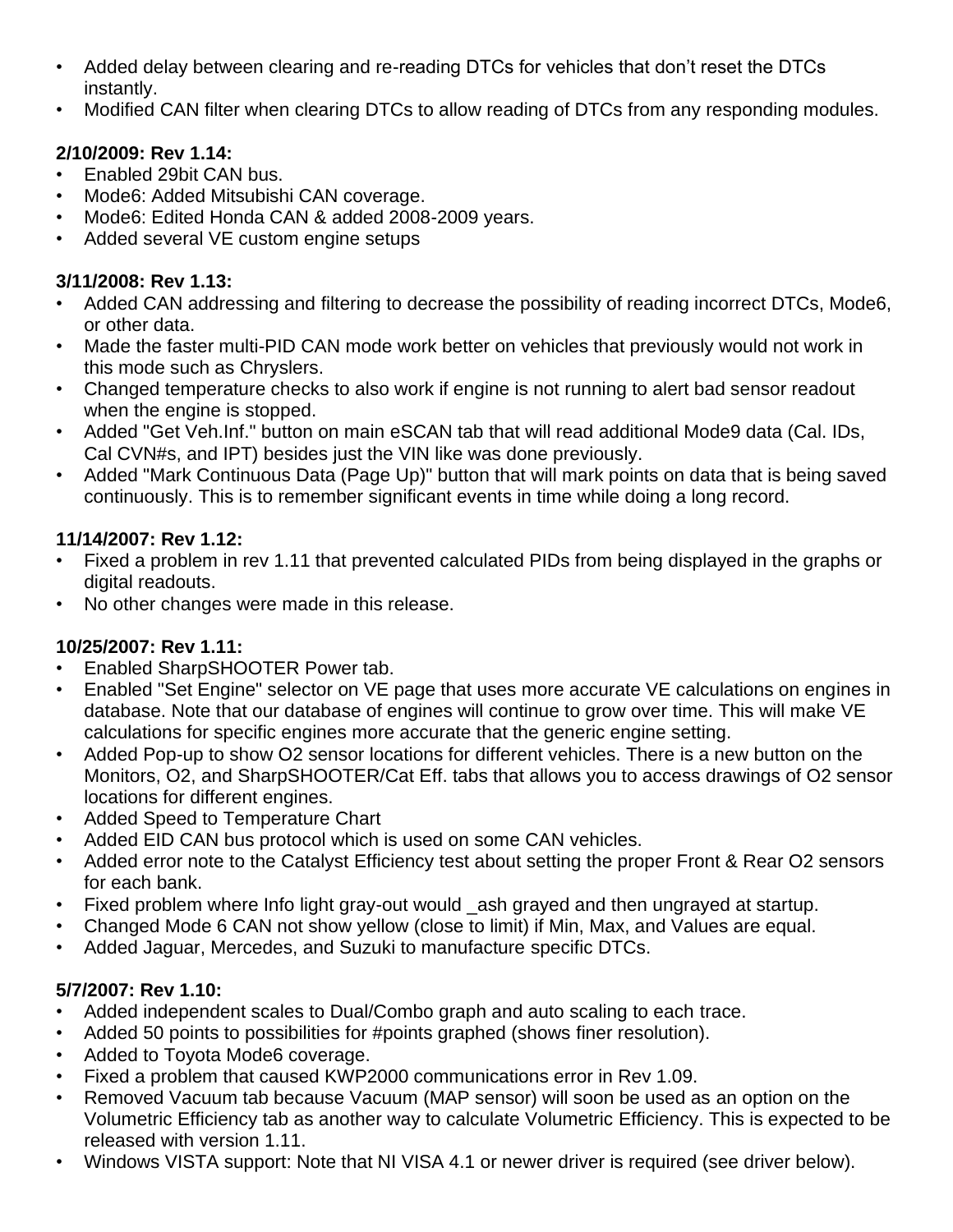- Added delay between clearing and re-reading DTCs for vehicles that don't reset the DTCs instantly.
- Modified CAN filter when clearing DTCs to allow reading of DTCs from any responding modules.

# **2/10/2009: Rev 1.14:**

- Enabled 29bit CAN bus.
- Mode6: Added Mitsubishi CAN coverage.
- Mode6: Edited Honda CAN & added 2008-2009 vears.
- Added several VE custom engine setups

## **3/11/2008: Rev 1.13:**

- Added CAN addressing and filtering to decrease the possibility of reading incorrect DTCs, Mode6, or other data.
- Made the faster multi-PID CAN mode work better on vehicles that previously would not work in this mode such as Chryslers.
- Changed temperature checks to also work if engine is not running to alert bad sensor readout when the engine is stopped.
- Added "Get Veh.Inf." button on main eSCAN tab that will read additional Mode9 data (Cal. IDs, Cal CVN#s, and IPT) besides just the VIN like was done previously.
- Added "Mark Continuous Data (Page Up)" button that will mark points on data that is being saved continuously. This is to remember significant events in time while doing a long record.

# **11/14/2007: Rev 1.12:**

- Fixed a problem in rev 1.11 that prevented calculated PIDs from being displayed in the graphs or digital readouts.
- No other changes were made in this release.

# **10/25/2007: Rev 1.11:**

- Enabled SharpSHOOTER Power tab.
- Enabled "Set Engine" selector on VE page that uses more accurate VE calculations on engines in database. Note that our database of engines will continue to grow over time. This will make VE calculations for specific engines more accurate that the generic engine setting.
- Added Pop-up to show O2 sensor locations for different vehicles. There is a new button on the Monitors, O2, and SharpSHOOTER/Cat Eff. tabs that allows you to access drawings of O2 sensor locations for different engines.
- Added Speed to Temperature Chart
- Added EID CAN bus protocol which is used on some CAN vehicles.
- Added error note to the Catalyst Efficiency test about setting the proper Front & Rear O2 sensors for each bank.
- Fixed problem where Info light gray-out would \_ash grayed and then ungrayed at startup.
- Changed Mode 6 CAN not show yellow (close to limit) if Min, Max, and Values are equal.
- Added Jaguar, Mercedes, and Suzuki to manufacture specific DTCs.

# **5/7/2007: Rev 1.10:**

- Added independent scales to Dual/Combo graph and auto scaling to each trace.
- Added 50 points to possibilities for #points graphed (shows finer resolution).
- Added to Toyota Mode6 coverage.
- Fixed a problem that caused KWP2000 communications error in Rev 1.09.
- Removed Vacuum tab because Vacuum (MAP sensor) will soon be used as an option on the Volumetric Efficiency tab as another way to calculate Volumetric Efficiency. This is expected to be released with version 1.11.
- Windows VISTA support: Note that NI VISA 4.1 or newer driver is required (see driver below).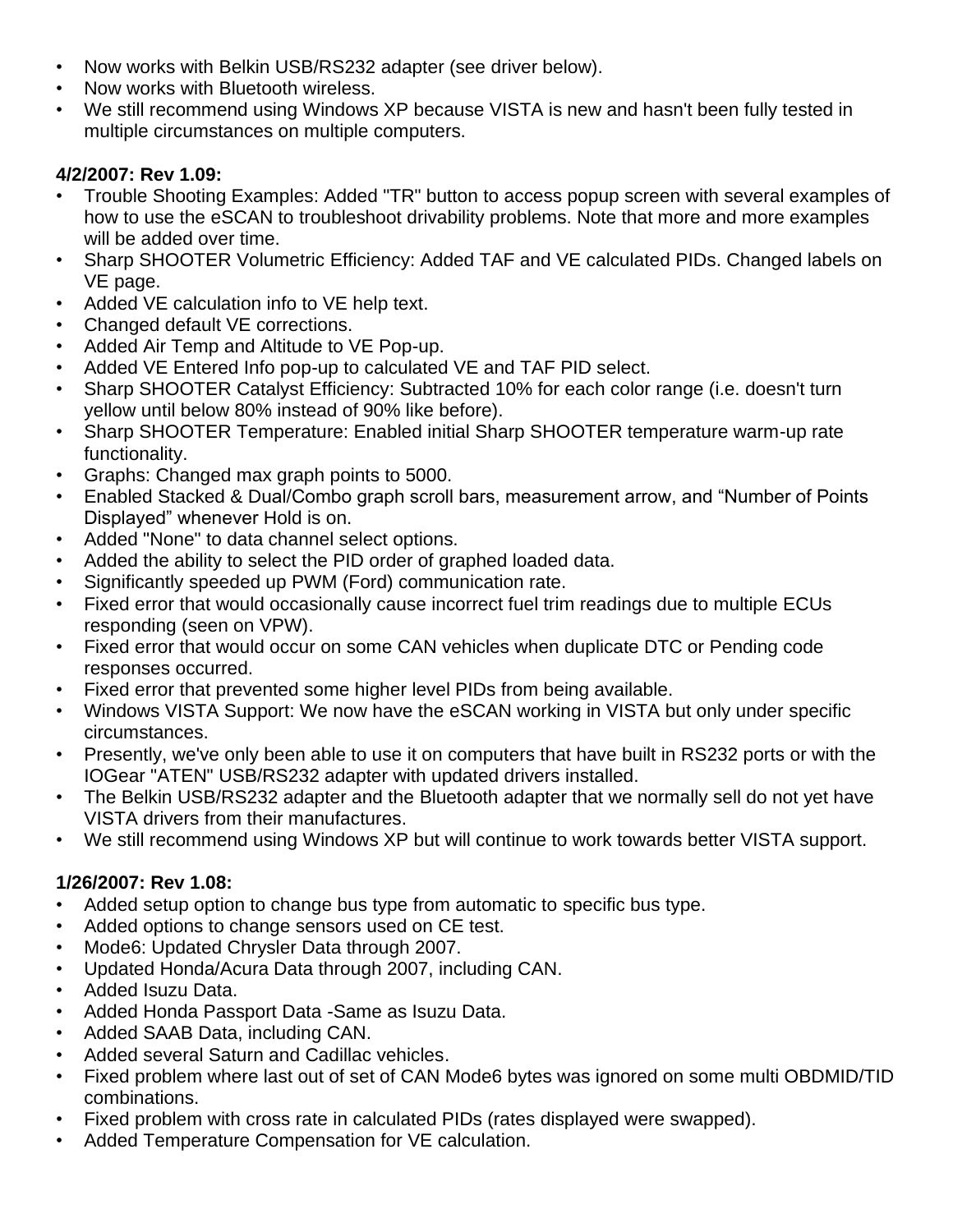- Now works with Belkin USB/RS232 adapter (see driver below).
- Now works with Bluetooth wireless.
- We still recommend using Windows XP because VISTA is new and hasn't been fully tested in multiple circumstances on multiple computers.

# **4/2/2007: Rev 1.09:**

- Trouble Shooting Examples: Added "TR" button to access popup screen with several examples of how to use the eSCAN to troubleshoot drivability problems. Note that more and more examples will be added over time.
- Sharp SHOOTER Volumetric Efficiency: Added TAF and VE calculated PIDs. Changed labels on VE page.
- Added VE calculation info to VE help text.
- Changed default VE corrections.
- Added Air Temp and Altitude to VE Pop-up.
- Added VE Entered Info pop-up to calculated VE and TAF PID select.
- Sharp SHOOTER Catalyst Efficiency: Subtracted 10% for each color range (i.e. doesn't turn yellow until below 80% instead of 90% like before).
- Sharp SHOOTER Temperature: Enabled initial Sharp SHOOTER temperature warm-up rate functionality.
- Graphs: Changed max graph points to 5000.
- Enabled Stacked & Dual/Combo graph scroll bars, measurement arrow, and "Number of Points Displayed" whenever Hold is on.
- Added "None" to data channel select options.
- Added the ability to select the PID order of graphed loaded data.
- Significantly speeded up PWM (Ford) communication rate.
- Fixed error that would occasionally cause incorrect fuel trim readings due to multiple ECUs responding (seen on VPW).
- Fixed error that would occur on some CAN vehicles when duplicate DTC or Pending code responses occurred.
- Fixed error that prevented some higher level PIDs from being available.
- Windows VISTA Support: We now have the eSCAN working in VISTA but only under specific circumstances.
- Presently, we've only been able to use it on computers that have built in RS232 ports or with the IOGear "ATEN" USB/RS232 adapter with updated drivers installed.
- The Belkin USB/RS232 adapter and the Bluetooth adapter that we normally sell do not yet have VISTA drivers from their manufactures.
- We still recommend using Windows XP but will continue to work towards better VISTA support.

# **1/26/2007: Rev 1.08:**

- Added setup option to change bus type from automatic to specific bus type.
- Added options to change sensors used on CE test.
- Mode6: Updated Chrysler Data through 2007.
- Updated Honda/Acura Data through 2007, including CAN.
- Added Isuzu Data.
- Added Honda Passport Data -Same as Isuzu Data.
- Added SAAB Data, including CAN.
- Added several Saturn and Cadillac vehicles.
- Fixed problem where last out of set of CAN Mode6 bytes was ignored on some multi OBDMID/TID combinations.
- Fixed problem with cross rate in calculated PIDs (rates displayed were swapped).
- Added Temperature Compensation for VE calculation.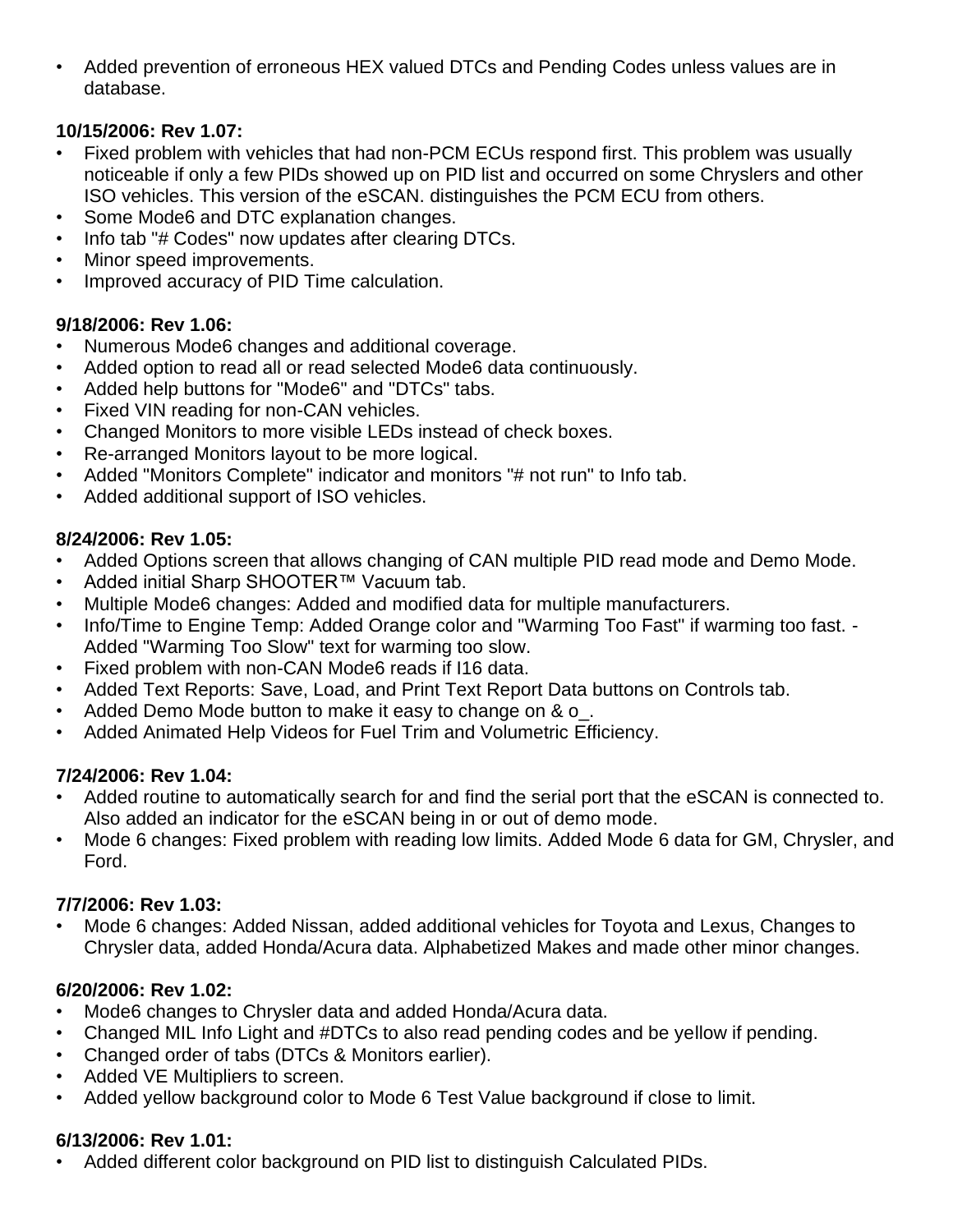• Added prevention of erroneous HEX valued DTCs and Pending Codes unless values are in database.

## **10/15/2006: Rev 1.07:**

- Fixed problem with vehicles that had non-PCM ECUs respond first. This problem was usually noticeable if only a few PIDs showed up on PID list and occurred on some Chryslers and other ISO vehicles. This version of the eSCAN. distinguishes the PCM ECU from others.
- Some Mode6 and DTC explanation changes.
- Info tab "# Codes" now updates after clearing DTCs.
- Minor speed improvements.
- Improved accuracy of PID Time calculation.

# **9/18/2006: Rev 1.06:**

- Numerous Mode6 changes and additional coverage.
- Added option to read all or read selected Mode6 data continuously.
- Added help buttons for "Mode6" and "DTCs" tabs.
- Fixed VIN reading for non-CAN vehicles.
- Changed Monitors to more visible LEDs instead of check boxes.
- Re-arranged Monitors layout to be more logical.
- Added "Monitors Complete" indicator and monitors "# not run" to Info tab.
- Added additional support of ISO vehicles.

## **8/24/2006: Rev 1.05:**

- Added Options screen that allows changing of CAN multiple PID read mode and Demo Mode.
- Added initial Sharp SHOOTER™ Vacuum tab.
- Multiple Mode6 changes: Added and modified data for multiple manufacturers.
- Info/Time to Engine Temp: Added Orange color and "Warming Too Fast" if warming too fast. Added "Warming Too Slow" text for warming too slow.
- Fixed problem with non-CAN Mode6 reads if I16 data.
- Added Text Reports: Save, Load, and Print Text Report Data buttons on Controls tab.
- Added Demo Mode button to make it easy to change on & o.
- Added Animated Help Videos for Fuel Trim and Volumetric Efficiency.

# **7/24/2006: Rev 1.04:**

- Added routine to automatically search for and find the serial port that the eSCAN is connected to. Also added an indicator for the eSCAN being in or out of demo mode.
- Mode 6 changes: Fixed problem with reading low limits. Added Mode 6 data for GM, Chrysler, and Ford.

# **7/7/2006: Rev 1.03:**

• Mode 6 changes: Added Nissan, added additional vehicles for Toyota and Lexus, Changes to Chrysler data, added Honda/Acura data. Alphabetized Makes and made other minor changes.

# **6/20/2006: Rev 1.02:**

- Mode6 changes to Chrysler data and added Honda/Acura data.
- Changed MIL Info Light and #DTCs to also read pending codes and be yellow if pending.
- Changed order of tabs (DTCs & Monitors earlier).
- Added VE Multipliers to screen.
- Added yellow background color to Mode 6 Test Value background if close to limit.

# **6/13/2006: Rev 1.01:**

• Added different color background on PID list to distinguish Calculated PIDs.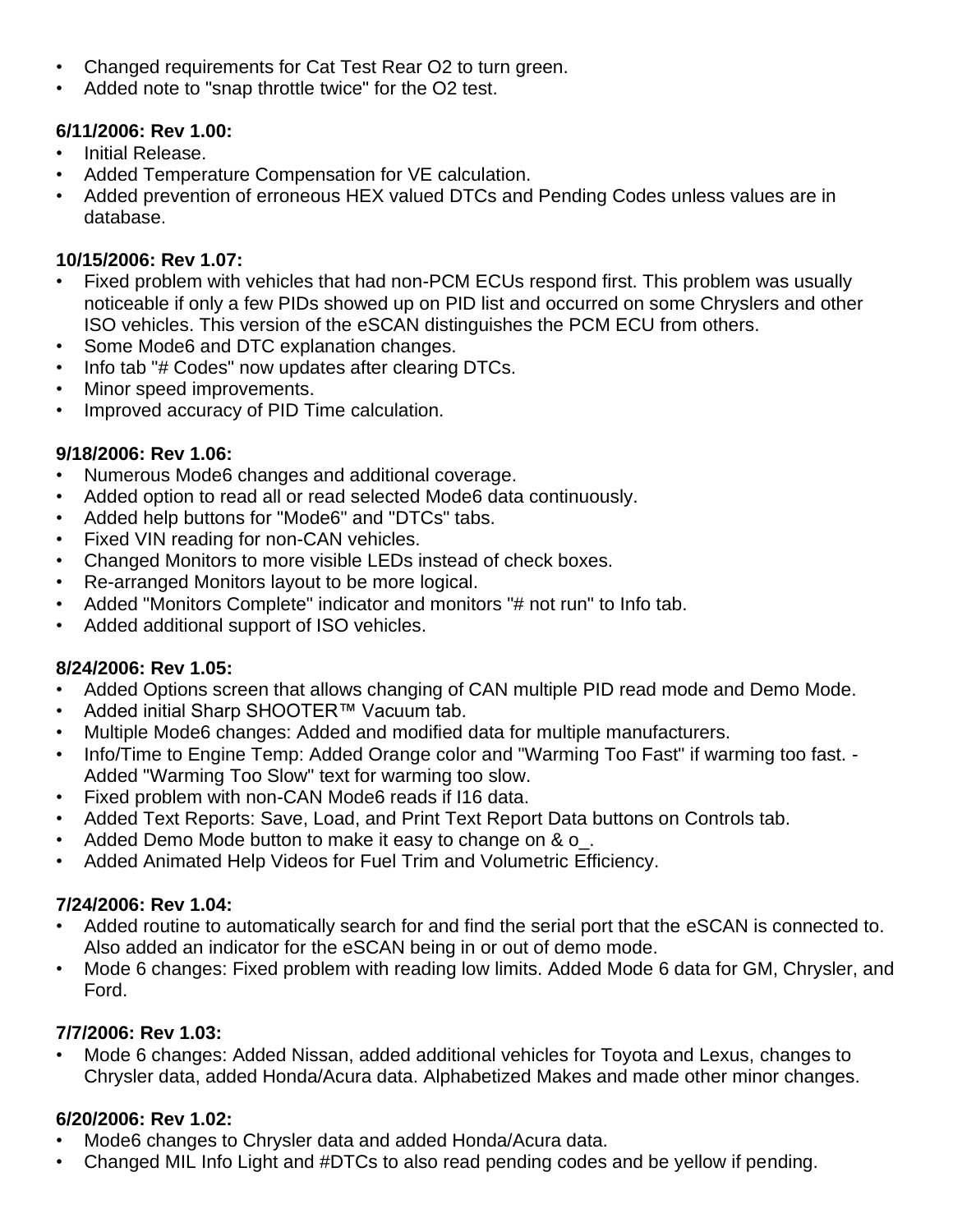- Changed requirements for Cat Test Rear O2 to turn green.
- Added note to "snap throttle twice" for the O2 test.

#### **6/11/2006: Rev 1.00:**

- Initial Release.
- Added Temperature Compensation for VE calculation.
- Added prevention of erroneous HEX valued DTCs and Pending Codes unless values are in database.

#### **10/15/2006: Rev 1.07:**

- Fixed problem with vehicles that had non-PCM ECUs respond first. This problem was usually noticeable if only a few PIDs showed up on PID list and occurred on some Chryslers and other ISO vehicles. This version of the eSCAN distinguishes the PCM ECU from others.
- Some Mode6 and DTC explanation changes.
- Info tab "# Codes" now updates after clearing DTCs.
- Minor speed improvements.
- Improved accuracy of PID Time calculation.

#### **9/18/2006: Rev 1.06:**

- Numerous Mode6 changes and additional coverage.
- Added option to read all or read selected Mode6 data continuously.
- Added help buttons for "Mode6" and "DTCs" tabs.
- Fixed VIN reading for non-CAN vehicles.
- Changed Monitors to more visible LEDs instead of check boxes.
- Re-arranged Monitors layout to be more logical.
- Added "Monitors Complete" indicator and monitors "# not run" to Info tab.
- Added additional support of ISO vehicles.

#### **8/24/2006: Rev 1.05:**

- Added Options screen that allows changing of CAN multiple PID read mode and Demo Mode.
- Added initial Sharp SHOOTER™ Vacuum tab.
- Multiple Mode6 changes: Added and modified data for multiple manufacturers.
- Info/Time to Engine Temp: Added Orange color and "Warming Too Fast" if warming too fast. Added "Warming Too Slow" text for warming too slow.
- Fixed problem with non-CAN Mode6 reads if I16 data.
- Added Text Reports: Save, Load, and Print Text Report Data buttons on Controls tab.
- Added Demo Mode button to make it easy to change on & o.
- Added Animated Help Videos for Fuel Trim and Volumetric Efficiency.

#### **7/24/2006: Rev 1.04:**

- Added routine to automatically search for and find the serial port that the eSCAN is connected to. Also added an indicator for the eSCAN being in or out of demo mode.
- Mode 6 changes: Fixed problem with reading low limits. Added Mode 6 data for GM, Chrysler, and Ford.

#### **7/7/2006: Rev 1.03:**

• Mode 6 changes: Added Nissan, added additional vehicles for Toyota and Lexus, changes to Chrysler data, added Honda/Acura data. Alphabetized Makes and made other minor changes.

#### **6/20/2006: Rev 1.02:**

- Mode6 changes to Chrysler data and added Honda/Acura data.
- Changed MIL Info Light and #DTCs to also read pending codes and be yellow if pending.